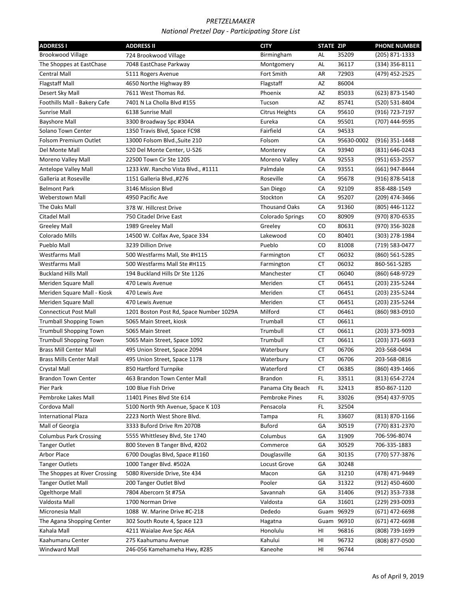| <b>ADDRESS I</b>               | <b>ADDRESS II</b>                       | <b>CITY</b>           | <b>STATE ZIP</b> |            | <b>PHONE NUMBER</b> |
|--------------------------------|-----------------------------------------|-----------------------|------------------|------------|---------------------|
| <b>Brookwood Village</b>       | 724 Brookwood Village                   | Birmingham            | AL               | 35209      | (205) 871-1333      |
| The Shoppes at EastChase       | 7048 EastChase Parkway                  | Montgomery            | AL               | 36117      | (334) 356-8111      |
| Central Mall                   | 5111 Rogers Avenue                      | Fort Smith            | AR               | 72903      | (479) 452-2525      |
| <b>Flagstaff Mall</b>          | 4650 Northe Highway 89                  | Flagstaff             | AZ               | 86004      |                     |
| Desert Sky Mall                | 7611 West Thomas Rd.                    | Phoenix               | AZ               | 85033      | (623) 873-1540      |
| Foothills Mall - Bakery Cafe   | 7401 N La Cholla Blvd #155              | Tucson                | AZ               | 85741      | (520) 531-8404      |
| <b>Sunrise Mall</b>            | 6138 Sunrise Mall                       | <b>Citrus Heights</b> | CA               | 95610      | (916) 723-7197      |
| <b>Bayshore Mall</b>           | 3300 Broadway Spc #304A                 | Eureka                | CA               | 95501      | (707) 444-9595      |
| Solano Town Center             | 1350 Travis Blvd, Space FC98            | Fairfield             | CA               | 94533      |                     |
| Folsom Premium Outlet          | 13000 Folsom Blvd., Suite 210           | Folsom                | CA               | 95630-0002 | (916) 351-1448      |
| Del Monte Mall                 | 520 Del Monte Center, U-526             | Monterey              | CA               | 93940      | (831) 646-0243      |
| Moreno Valley Mall             | 22500 Town Cir Ste 1205                 | Moreno Valley         | CA               | 92553      | (951) 653-2557      |
| Antelope Valley Mall           | 1233 kW. Rancho Vista Blvd., #1111      | Palmdale              | CA               | 93551      | (661) 947-8444      |
| Galleria at Roseville          | 1151 Galleria Blvd.,#276                | Roseville             | СA               | 95678      | (916) 878-5418      |
| <b>Belmont Park</b>            | 3146 Mission Blvd                       | San Diego             | CA               | 92109      | 858-488-1549        |
| <b>Weberstown Mall</b>         | 4950 Pacific Ave                        | Stockton              | CA               | 95207      | (209) 474-3466      |
| The Oaks Mall                  | 378 W. Hillcrest Drive                  | <b>Thousand Oaks</b>  | CA               | 91360      | (805) 446-1122      |
| <b>Citadel Mall</b>            | 750 Citadel Drive East                  | Colorado Springs      | CO               | 80909      | (970) 870-6535      |
| Greeley Mall                   | 1989 Greeley Mall                       | Greeley               | CO               | 80631      | (970) 356-3028      |
| Colorado Mills                 | 14500 W. Colfax Ave, Space 334          | Lakewood              | CO               | 80401      | (303) 278-1984      |
| Pueblo Mall                    | 3239 Dillion Drive                      | Pueblo                | CO               | 81008      | (719) 583-0477      |
| <b>Westfarms Mall</b>          | 500 Westfarms Mall, Ste #H115           | Farmington            | CT               | 06032      | (860) 561-5285      |
| <b>Westfarms Mall</b>          | 500 Westfarms Mall Ste #H115            | Farmington            | CT               | 06032      | 860-561-5285        |
| <b>Buckland Hills Mall</b>     | 194 Buckland Hills Dr Ste 1126          | Manchester            | СT               | 06040      | (860) 648-9729      |
| Meriden Square Mall            | 470 Lewis Avenue                        | Meriden               | CT               | 06451      | (203) 235-5244      |
| Meriden Square Mall - Kiosk    | 470 Lewis Ave                           | Meriden               | <b>CT</b>        | 06451      | (203) 235-5244      |
| Meriden Square Mall            | 470 Lewis Avenue                        | Meriden               | <b>CT</b>        | 06451      | (203) 235-5244      |
| <b>Connecticut Post Mall</b>   | 1201 Boston Post Rd, Space Number 1029A | Milford               | CT               | 06461      | (860) 983-0910      |
| <b>Trumball Shopping Town</b>  | 5065 Main Street, kiosk                 | Trumball              | CT               | 06611      |                     |
| <b>Trumbull Shopping Town</b>  | 5065 Main Street                        | Trumbull              | CT               | 06611      | (203) 373-9093      |
| <b>Trumbull Shopping Town</b>  | 5065 Main Street, Space 1092            | Trumbull              | CT               | 06611      | (203) 371-6693      |
| <b>Brass Mill Center Mall</b>  | 495 Union Street, Space 2094            | Waterbury             | CT               | 06706      | 203-568-0494        |
| <b>Brass Mills Center Mall</b> | 495 Union Street, Space 1178            | Waterbury             | СT               | 06706      | 203-568-0816        |
| Crystal Mall                   | 850 Hartford Turnpike                   | Waterford             | СT               | 06385      | (860) 439-1466      |
| <b>Brandon Town Center</b>     | 463 Brandon Town Center Mall            | <b>Brandon</b>        | FL               | 33511      | (813) 654-2724      |
| Pier Park                      | 100 Blue Fish Drive                     | Panama City Beach     | FL.              | 32413      | 850-867-1120        |
| Pembroke Lakes Mall            | 11401 Pines Blvd Ste 614                | Pembroke Pines        | FL               | 33026      | (954) 437-9705      |
| Cordova Mall                   | 5100 North 9th Avenue, Space K 103      | Pensacola             | FL               | 32504      |                     |
| <b>International Plaza</b>     | 2223 North West Shore Blvd.             | Tampa                 | FL               | 33607      | (813) 870-1166      |
| Mall of Georgia                | 3333 Buford Drive Rm 2070B              | <b>Buford</b>         | GA               | 30519      | (770) 831-2370      |
| <b>Columbus Park Crossing</b>  | 5555 Whittlesey Blvd, Ste 1740          | Columbus              | GА               | 31909      | 706-596-8074        |
| Tanger Outlet                  | 800 Steven B Tanger Blvd, #202          | Commerce              | GА               | 30529      | 706-335-1883        |
| <b>Arbor Place</b>             | 6700 Douglas Blvd, Space #1160          | Douglasville          | GА               | 30135      | (770) 577-3876      |
| <b>Tanger Outlets</b>          | 1000 Tanger Blvd. #502A                 | Locust Grove          | GА               | 30248      |                     |
| The Shoppes at River Crossing  | 5080 Riverside Drive, Ste 434           | Macon                 | GA               | 31210      | (478) 471-9449      |
| <b>Tanger Outlet Mall</b>      | 200 Tanger Outlet Blvd                  | Pooler                | GА               | 31322      | (912) 450-4600      |
| Ogelthorpe Mall                | 7804 Abercorn St #75A                   | Savannah              | GA               | 31406      | (912) 353-7338      |
| Valdosta Mall                  | 1700 Norman Drive                       | Valdosta              | GA               | 31601      | (229) 293-0093      |
| Micronesia Mall                | 1088 W. Marine Drive #C-218             | Dededo                | Guam             | 96929      | (671) 472-6698      |
| The Agana Shopping Center      | 302 South Route 4, Space 123            | Hagatna               |                  | Guam 96910 | (671) 472-6698      |
| Kahala Mall                    | 4211 Waialae Ave Spc A6A                | Honolulu              | HI               | 96816      | (808) 739-1699      |
| Kaahumanu Center               | 275 Kaahumanu Avenue                    | Kahului               | HI               | 96732      | (808) 877-0500      |
| Windward Mall                  | 246-056 Kamehameha Hwy, #285            | Kaneohe               | HI               | 96744      |                     |
|                                |                                         |                       |                  |            |                     |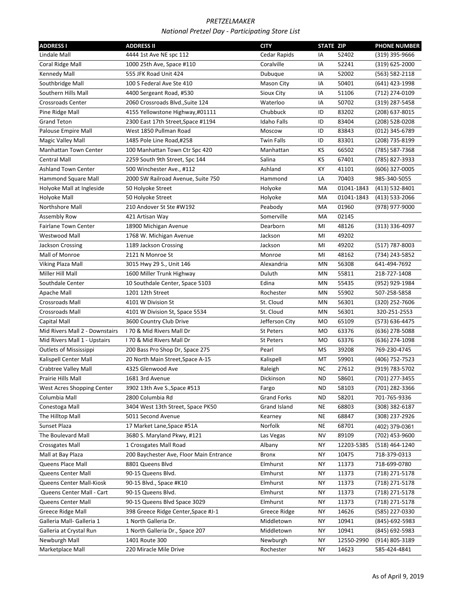| <b>ADDRESS I</b>               | <b>ADDRESS II</b>                       | <b>CITY</b>         | <b>STATE ZIP</b> |            | <b>PHONE NUMBER</b> |
|--------------------------------|-----------------------------------------|---------------------|------------------|------------|---------------------|
| Lindale Mall                   | 4444 1st Ave NE spc 112                 | Cedar Rapids        | IA               | 52402      | (319) 395-9666      |
| Coral Ridge Mall               | 1000 25th Ave, Space #110               | Coralville          | IA               | 52241      | (319) 625-2000      |
| <b>Kennedy Mall</b>            | 555 JFK Road Unit 424                   | Dubuque             | IA               | 52002      | (563) 582-2118      |
| Southbridge Mall               | 100 S Federal Ave Ste 410               | Mason City          | ΙA               | 50401      | (641) 423-1998      |
| Southern Hills Mall            | 4400 Sergeant Road, #530                | Sioux City          | IA               | 51106      | (712) 274-0109      |
| <b>Crossroads Center</b>       | 2060 Crossroads Blvd., Suite 124        | Waterloo            | IA               | 50702      | (319) 287-5458      |
| Pine Ridge Mall                | 4155 Yellowstone Highway,#01111         | Chubbuck            | ID               | 83202      | (208) 637-8015      |
| <b>Grand Teton</b>             | 2300 East 17th Street, Space #1194      | <b>Idaho Falls</b>  | ID               | 83404      | (208) 528-0208      |
| Palouse Empire Mall            | West 1850 Pullman Road                  | Moscow              | ID               | 83843      | (012) 345-6789      |
| <b>Magic Valley Mall</b>       | 1485 Pole Line Road,#258                | <b>Twin Falls</b>   | ID               | 83301      | (208) 735-8199      |
| Manhattan Town Center          | 100 Manhattan Town Ctr Spc 420          | Manhattan           | KS               | 66502      | (785) 587-7368      |
| <b>Central Mall</b>            | 2259 South 9th Street, Spc 144          | Salina              | KS               | 67401      | (785) 827-3933      |
| <b>Ashland Town Center</b>     | 500 Winchester Ave., #112               | Ashland             | КY               | 41101      | (606) 327-0005      |
| Hammond Square Mall            | 2000 SW Railroad Avenue, Suite 750      | Hammond             | LA               | 70403      | 985-340-5055        |
| Holyoke Mall at Ingleside      | 50 Holyoke Street                       | Holyoke             | МA               | 01041-1843 | (413) 532-8401      |
| Holyoke Mall                   | 50 Holyoke Street                       | Holyoke             | MA               | 01041-1843 | (413) 533-2066      |
| Northshore Mall                | 210 Andover St Ste #W192                | Peabody             | MA               | 01960      | (978) 977-9000      |
| Assembly Row                   | 421 Artisan Way                         | Somerville          | МA               | 02145      |                     |
| <b>Fairlane Town Center</b>    | 18900 Michigan Avenue                   | Dearborn            | MI               | 48126      | (313) 336-4097      |
| Westwood Mall                  | 1768 W. Michigan Avenue                 | Jackson             | MI               | 49202      |                     |
| Jackson Crossing               | 1189 Jackson Crossing                   | Jackson             | MI               | 49202      | (517) 787-8003      |
| Mall of Monroe                 | 2121 N Monroe St                        | Monroe              | MI               | 48162      | (734) 243-5852      |
| Viking Plaza Mall              | 3015 Hwy 29 S., Unit 146                | Alexandria          | ΜN               | 56308      | 641-494-7692        |
| Miller Hill Mall               | 1600 Miller Trunk Highway               | Duluth              | ΜN               | 55811      | 218-727-1408        |
| Southdale Center               | 10 Southdale Center, Space 5103         | Edina               | MN               | 55435      | (952) 929-1984      |
| Apache Mall                    | 1201 12th Street                        | Rochester           | MN               | 55902      | 507-258-5858        |
| <b>Crossroads Mall</b>         | 4101 W Division St                      | St. Cloud           | MN               | 56301      | (320) 252-7606      |
| <b>Crossroads Mall</b>         | 4101 W Division St, Space 5534          | St. Cloud           | MN               | 56301      | 320-251-2553        |
| Capital Mall                   | 3600 Country Club Drive                 | Jefferson City      | МO               | 65109      | (573) 636-4475      |
| Mid Rivers Mall 2 - Downstairs | 170 & Mid Rivers Mall Dr                | <b>St Peters</b>    | M <sub>O</sub>   | 63376      | (636) 278-5088      |
| Mid Rivers Mall 1 - Upstairs   | 170 & Mid Rivers Mall Dr                | St Peters           | M <sub>O</sub>   | 63376      | (636) 274-1098      |
| <b>Outlets of Mississippi</b>  | 200 Bass Pro Shop Dr, Space 275         | Pearl               | MS               | 39208      | 769-230-4745        |
| Kalispell Center Mall          | 20 North Main Street, Space A-15        | Kalispell           | МT               | 59901      | (406) 752-7523      |
| Crabtree Valley Mall           | 4325 Glenwood Ave                       | Raleigh             | NC               | 27612      | (919) 783-5702      |
| Prairie Hills Mall             | 1681 3rd Avenue                         | Dickinson           | <b>ND</b>        | 58601      | (701) 277-3455      |
| West Acres Shopping Center     | 3902 13th Ave S., Space #513            | Fargo               | ND               | 58103      | (701) 282-3366      |
| Columbia Mall                  | 2800 Columbia Rd                        | <b>Grand Forks</b>  | ND               | 58201      | 701-765-9336        |
| Conestoga Mall                 | 3404 West 13th Street, Space PK50       | Grand Island        | NE               | 68803      | (308) 382-6187      |
| The Hilltop Mall               | 5011 Second Avenue                      | Kearney             | ΝE               | 68847      | (308) 237-2926      |
| Sunset Plaza                   | 17 Market Lane, Space #51A              | Norfolk             | ΝE               | 68701      | (402) 379-0361      |
| The Boulevard Mall             | 3680 S. Maryland Pkwy, #121             | Las Vegas           | ΝV               | 89109      | (702) 453-9600      |
| Crossgates Mall                | 1 Crossgates Mall Road                  | Albany              | ΝY               | 12203-5385 | (518) 464-1240      |
| Mall at Bay Plaza              | 200 Baychester Ave, Floor Main Entrance | Bronx               | NΥ               | 10475      | 718-379-0313        |
| Queens Place Mall              | 8801 Queens Blvd                        | Elmhurst            | NΥ               | 11373      | 718-699-0780        |
| Queens Center Mall             | 90-15 Queens Blvd.                      | Elmhurst            | NΥ               | 11373      | (718) 271-5178      |
| Queens Center Mall-Kiosk       | 90-15 Blvd., Space #K10                 | Elmhurst            | NΥ               | 11373      | (718) 271-5178      |
| Queens Center Mall - Cart      | 90-15 Queens Blvd.                      | Elmhurst            | NΥ               | 11373      | (718) 271-5178      |
| Queens Center Mall             | 90-15 Queens Blvd Space 3029            | Elmhurst            | NΥ               | 11373      | (718) 271-5178      |
| Greece Ridge Mall              | 398 Greece Ridge Center, Space #J-1     | <b>Greece Ridge</b> | NΥ               | 14626      | (585) 227-0330      |
| Galleria Mall- Galleria 1      | 1 North Galleria Dr.                    | Middletown          | NΥ               | 10941      | (845)-692-5983      |
| Galleria at Crystal Run        | 1 North Galleria Dr., Space 207         | Middletown          | NΥ               | 10941      | (845) 692-5983      |
| Newburgh Mall                  | 1401 Route 300                          | Newburgh            | NΥ               | 12550-2990 | (914) 805-3189      |
| Marketplace Mall               | 220 Miracle Mile Drive                  | Rochester           | NΥ               | 14623      | 585-424-4841        |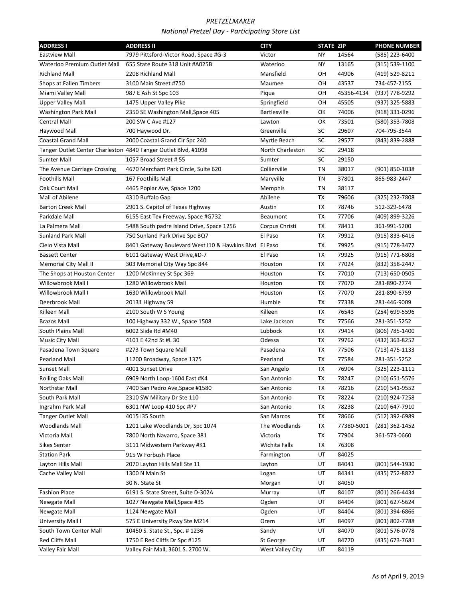| <b>ADDRESS I</b>                                               | <b>ADDRESS II</b>                                      | <b>CITY</b>             | <b>STATE ZIP</b> |            | <b>PHONE NUMBER</b> |
|----------------------------------------------------------------|--------------------------------------------------------|-------------------------|------------------|------------|---------------------|
| <b>Eastview Mall</b>                                           | 7979 Pittsford-Victor Road, Space #G-3                 | Victor                  | NY.              | 14564      | (585) 223-6400      |
| Waterloo Premium Outlet Mall                                   | 655 State Route 318 Unit #A025B                        | Waterloo                | NY               | 13165      | $(315) 539 - 1100$  |
| <b>Richland Mall</b>                                           | 2208 Richland Mall                                     | Mansfield               | OН               | 44906      | (419) 529-8211      |
| Shops at Fallen Timbers                                        | 3100 Main Street #750                                  | Maumee                  | OН               | 43537      | 734-457-2155        |
| Miami Valley Mall                                              | 987 E Ash St Spc 103                                   | Piqua                   | OН               | 45356-4134 | (937) 778-9292      |
| <b>Upper Valley Mall</b>                                       | 1475 Upper Valley Pike                                 | Springfield             | OН               | 45505      | (937) 325-5883      |
| <b>Washington Park Mall</b>                                    | 2350 SE Washington Mall, Space 405                     | <b>Bartlesville</b>     | ОΚ               | 74006      | (918) 331-0296      |
| <b>Central Mall</b>                                            | 200 SW C Ave #127                                      | Lawton                  | ОΚ               | 73501      | (580) 353-7808      |
| Haywood Mall                                                   | 700 Haywood Dr.                                        | Greenville              | SC               | 29607      | 704-795-3544        |
| <b>Coastal Grand Mall</b>                                      | 2000 Coastal Grand Cir Spc 240                         | Myrtle Beach            | SC               | 29577      | (843) 839-2888      |
| Tanger Outlet Center Charleston 4840 Tanger Outlet Blvd, #1098 |                                                        | North Charleston        | SC               | 29418      |                     |
| <b>Sumter Mall</b>                                             | 1057 Broad Street # 55                                 | Sumter                  | SC               | 29150      |                     |
| The Avenue Carriage Crossing                                   | 4670 Merchant Park Circle, Suite 620                   | Collierville            | ΤN               | 38017      | (901) 850-1038      |
| <b>Foothills Mall</b>                                          | 167 Foothills Mall                                     | Maryville               | TN               | 37801      | 865-983-2447        |
| Oak Court Mall                                                 | 4465 Poplar Ave, Space 1200                            | Memphis                 | ΤN               | 38117      |                     |
| Mall of Abilene                                                | 4310 Buffalo Gap                                       | Abilene                 | <b>TX</b>        | 79606      | (325) 232-7808      |
| <b>Barton Creek Mall</b>                                       | 2901 S. Capitol of Texas Highway                       | Austin                  | <b>TX</b>        | 78746      | 512-329-6478        |
| Parkdale Mall                                                  | 6155 East Tex Freeway, Space #G732                     | Beaumont                | TX               | 77706      | (409) 899-3226      |
| La Palmera Mall                                                | 5488 South padre Island Drive, Space 1256              | Corpus Christi          | ТX               | 78411      | 361-991-5200        |
| <b>Sunland Park Mall</b>                                       | 750 Sunland Park Drive Spc BQ7                         | El Paso                 | TX               | 79912      | (915) 833-6416      |
| Cielo Vista Mall                                               | 8401 Gateway Boulevard West I10 & Hawkins Blvd El Paso |                         | TX               | 79925      | (915) 778-3477      |
| <b>Bassett Center</b>                                          | 6101 Gateway West Drive,#D-7                           | El Paso                 | TX               | 79925      | (915) 771-6808      |
| Memorial City Mall II                                          | 303 Memorial City Way Spc 844                          | Houston                 | TX               | 77024      | (832) 358-2447      |
| The Shops at Houston Center                                    | 1200 McKinney St Spc 369                               | Houston                 | TX               | 77010      | (713) 650-0505      |
| Willowbrook Mall I                                             | 1280 Willowbrook Mall                                  | Houston                 | TX               | 77070      | 281-890-2774        |
| Willowbrook Mall I                                             | 1630 Willowbrook Mall                                  | Houston                 | TX               | 77070      | 281-890-6759        |
| Deerbrook Mall                                                 | 20131 Highway 59                                       | Humble                  | TX               | 77338      | 281-446-9009        |
| Killeen Mall                                                   | 2100 South W S Young                                   | Killeen                 | TX               | 76543      | (254) 699-5596      |
| <b>Brazos Mall</b>                                             | 100 Highway 332 W., Space 1508                         | Lake Jackson            | ТX               | 77566      | 281-351-5252        |
| South Plains Mall                                              | 6002 Slide Rd #M40                                     | Lubbock                 | TX               | 79414      | (806) 785-1400      |
| Music City Mall                                                | 4101 E 42nd St #L 30                                   | Odessa                  | TX               | 79762      | (432) 363-8252      |
| Pasadena Town Square                                           | #273 Town Square Mall                                  | Pasadena                | TX               | 77506      | (713) 475-1133      |
| <b>Pearland Mall</b>                                           | 11200 Broadway, Space 1375                             | Pearland                | TX               | 77584      | 281-351-5252        |
| <b>Sunset Mall</b>                                             | 4001 Sunset Drive                                      | San Angelo              | ТX               | 76904      | (325) 223-1111      |
| Rolling Oaks Mall                                              | 6909 North Loop-1604 East #K4                          | San Antonio             | TX               | 78247      | (210) 651-5576      |
| Northstar Mall                                                 | 7400 San Pedro Ave, Space #1580                        | San Antonio             | ТX               | 78216      | (210) 541-9552      |
| South Park Mall                                                | 2310 SW Military Dr Ste 110                            | San Antonio             | TX               | 78224      | (210) 924-7258      |
| Ingrahm Park Mall                                              | 6301 NW Loop 410 Spc #P7                               | San Antonio             | ТX               | 78238      | (210) 647-7910      |
| Tanger Outlet Mall                                             | 4015 I35 South                                         | San Marcos              | ТX               | 78666      | (512) 392-6989      |
| <b>Woodlands Mall</b>                                          | 1201 Lake Woodlands Dr, Spc 1074                       | The Woodlands           | ТX               | 77380-5001 | (281) 362-1452      |
| Victoria Mall                                                  | 7800 North Navarro, Space 381                          | Victoria                | ТX               | 77904      | 361-573-0660        |
| <b>Sikes Senter</b>                                            | 3111 Midwestern Parkway #K1                            | Wichita Falls           | ТX               | 76308      |                     |
| <b>Station Park</b>                                            | 915 W Forbush Place                                    | Farmington              | UT               | 84025      |                     |
| Layton Hills Mall                                              | 2070 Layton Hills Mall Ste 11                          | Layton                  | UT               | 84041      | (801) 544-1930      |
| Cache Valley Mall                                              | 1300 N Main St                                         | Logan                   | UT               | 84341      | (435) 752-8822      |
|                                                                | 30 N. State St                                         | Morgan                  | UT               | 84050      |                     |
| <b>Fashion Place</b>                                           | 6191 S. State Street, Suite D-302A                     | Murray                  | UT               | 84107      | (801) 266-4434      |
| Newgate Mall                                                   | 1027 Newgate Mall, Space #35                           | Ogden                   | UT               | 84404      | (801) 627-5624      |
| Newgate Mall                                                   | 1124 Newgate Mall                                      | Ogden                   | UT               | 84404      | (801) 394-6866      |
| University Mall I                                              | 575 E University Pkwy Ste M214                         | Orem                    | UT               | 84097      | (801) 802-7788      |
| South Town Center Mall                                         | 10450 S. State St., Spc. #1236                         | Sandy                   | UT               | 84070      | (801) 576-0778      |
| Red Cliffs Mall                                                | 1750 E Red Cliffs Dr Spc #125                          | St George               | UT               | 84770      | (435) 673-7681      |
| Valley Fair Mall                                               | Valley Fair Mall, 3601 S. 2700 W.                      | <b>West Valley City</b> | UT               | 84119      |                     |
|                                                                |                                                        |                         |                  |            |                     |